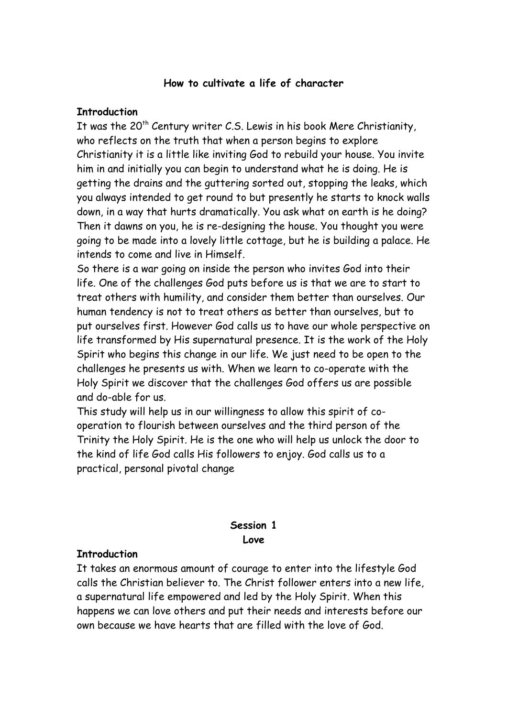### **How to cultivate a life of character**

#### **Introduction**

It was the  $20<sup>th</sup>$  Century writer C.S. Lewis in his book Mere Christianity, who reflects on the truth that when a person begins to explore Christianity it is a little like inviting God to rebuild your house. You invite him in and initially you can begin to understand what he is doing. He is getting the drains and the guttering sorted out, stopping the leaks, which you always intended to get round to but presently he starts to knock walls down, in a way that hurts dramatically. You ask what on earth is he doing? Then it dawns on you, he is re-designing the house. You thought you were going to be made into a lovely little cottage, but he is building a palace. He intends to come and live in Himself.

So there is a war going on inside the person who invites God into their life. One of the challenges God puts before us is that we are to start to treat others with humility, and consider them better than ourselves. Our human tendency is not to treat others as better than ourselves, but to put ourselves first. However God calls us to have our whole perspective on life transformed by His supernatural presence. It is the work of the Holy Spirit who begins this change in our life. We just need to be open to the challenges he presents us with. When we learn to co-operate with the Holy Spirit we discover that the challenges God offers us are possible and do-able for us.

This study will help us in our willingness to allow this spirit of cooperation to flourish between ourselves and the third person of the Trinity the Holy Spirit. He is the one who will help us unlock the door to the kind of life God calls His followers to enjoy. God calls us to a practical, personal pivotal change

### **Session 1 Love**

#### **Introduction**

It takes an enormous amount of courage to enter into the lifestyle God calls the Christian believer to. The Christ follower enters into a new life, a supernatural life empowered and led by the Holy Spirit. When this happens we can love others and put their needs and interests before our own because we have hearts that are filled with the love of God.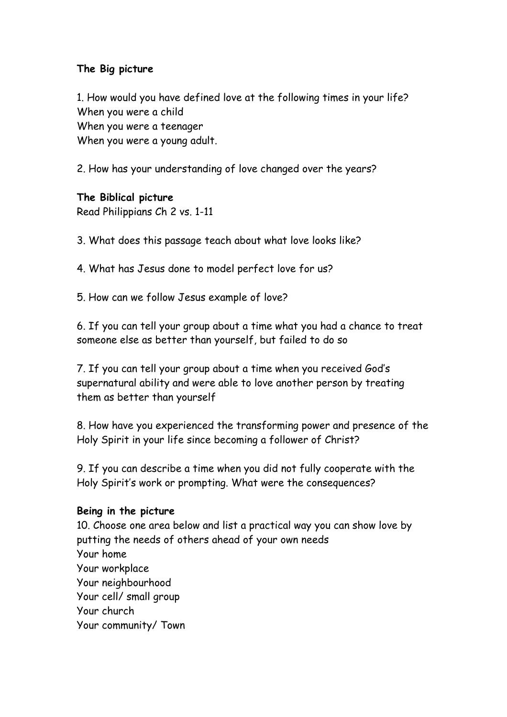# **The Big picture**

1. How would you have defined love at the following times in your life? When you were a child When you were a teenager When you were a young adult.

2. How has your understanding of love changed over the years?

## **The Biblical picture**

Read Philippians Ch 2 vs. 1-11

3. What does this passage teach about what love looks like?

4. What has Jesus done to model perfect love for us?

5. How can we follow Jesus example of love?

6. If you can tell your group about a time what you had a chance to treat someone else as better than yourself, but failed to do so

7. If you can tell your group about a time when you received God's supernatural ability and were able to love another person by treating them as better than yourself

8. How have you experienced the transforming power and presence of the Holy Spirit in your life since becoming a follower of Christ?

9. If you can describe a time when you did not fully cooperate with the Holy Spirit's work or prompting. What were the consequences?

### **Being in the picture**

10. Choose one area below and list a practical way you can show love by putting the needs of others ahead of your own needs Your home Your workplace Your neighbourhood Your cell/ small group Your church Your community/ Town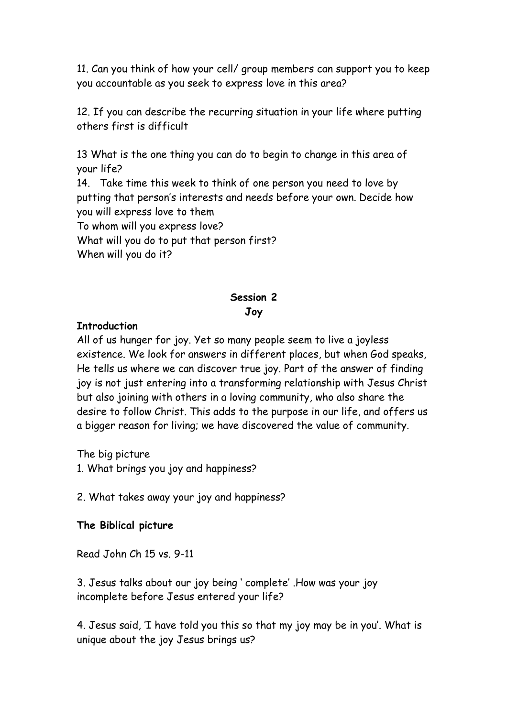11. Can you think of how your cell/ group members can support you to keep you accountable as you seek to express love in this area?

12. If you can describe the recurring situation in your life where putting others first is difficult

13 What is the one thing you can do to begin to change in this area of your life?

14. Take time this week to think of one person you need to love by putting that person's interests and needs before your own. Decide how you will express love to them To whom will you express love? What will you do to put that person first? When will you do it?

## **Session 2**

## **Joy**

## **Introduction**

All of us hunger for joy. Yet so many people seem to live a joyless existence. We look for answers in different places, but when God speaks, He tells us where we can discover true joy. Part of the answer of finding joy is not just entering into a transforming relationship with Jesus Christ but also joining with others in a loving community, who also share the desire to follow Christ. This adds to the purpose in our life, and offers us a bigger reason for living; we have discovered the value of community.

The big picture

1. What brings you joy and happiness?

2. What takes away your joy and happiness?

## **The Biblical picture**

Read John Ch 15 vs. 9-11

3. Jesus talks about our joy being ' complete' .How was your joy incomplete before Jesus entered your life?

4. Jesus said, 'I have told you this so that my joy may be in you'. What is unique about the joy Jesus brings us?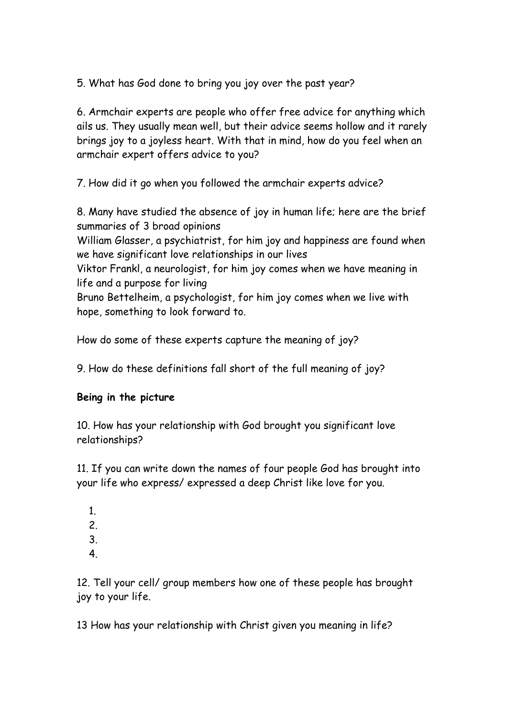5. What has God done to bring you joy over the past year?

6. Armchair experts are people who offer free advice for anything which ails us. They usually mean well, but their advice seems hollow and it rarely brings joy to a joyless heart. With that in mind, how do you feel when an armchair expert offers advice to you?

7. How did it go when you followed the armchair experts advice?

8. Many have studied the absence of joy in human life; here are the brief summaries of 3 broad opinions

William Glasser, a psychiatrist, for him joy and happiness are found when we have significant love relationships in our lives

Viktor Frankl, a neurologist, for him joy comes when we have meaning in life and a purpose for living

Bruno Bettelheim, a psychologist, for him joy comes when we live with hope, something to look forward to.

How do some of these experts capture the meaning of joy?

9. How do these definitions fall short of the full meaning of joy?

## **Being in the picture**

10. How has your relationship with God brought you significant love relationships?

11. If you can write down the names of four people God has brought into your life who express/ expressed a deep Christ like love for you.

- 1.
- 2.
- 3.
- 4.

12. Tell your cell/ group members how one of these people has brought joy to your life.

13 How has your relationship with Christ given you meaning in life?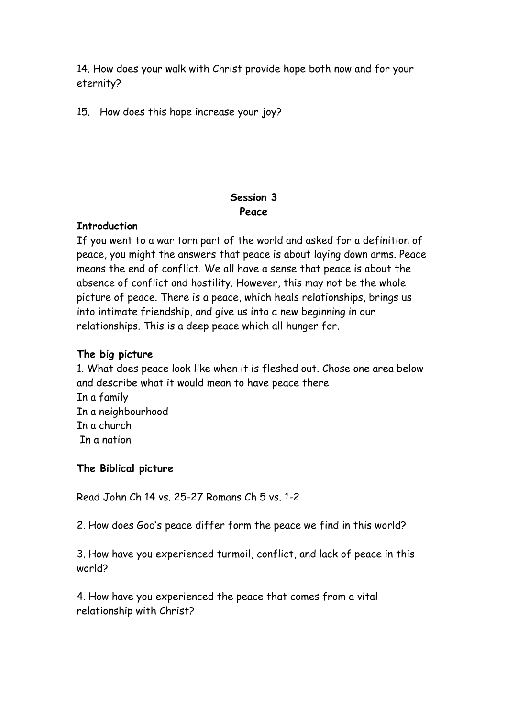14. How does your walk with Christ provide hope both now and for your eternity?

15. How does this hope increase your joy?

### **Session 3 Peace**

### **Introduction**

If you went to a war torn part of the world and asked for a definition of peace, you might the answers that peace is about laying down arms. Peace means the end of conflict. We all have a sense that peace is about the absence of conflict and hostility. However, this may not be the whole picture of peace. There is a peace, which heals relationships, brings us into intimate friendship, and give us into a new beginning in our relationships. This is a deep peace which all hunger for.

### **The big picture**

1. What does peace look like when it is fleshed out. Chose one area below and describe what it would mean to have peace there In a family In a neighbourhood In a church In a nation

### **The Biblical picture**

Read John Ch 14 vs. 25-27 Romans Ch 5 vs. 1-2

2. How does God's peace differ form the peace we find in this world?

3. How have you experienced turmoil, conflict, and lack of peace in this world?

4. How have you experienced the peace that comes from a vital relationship with Christ?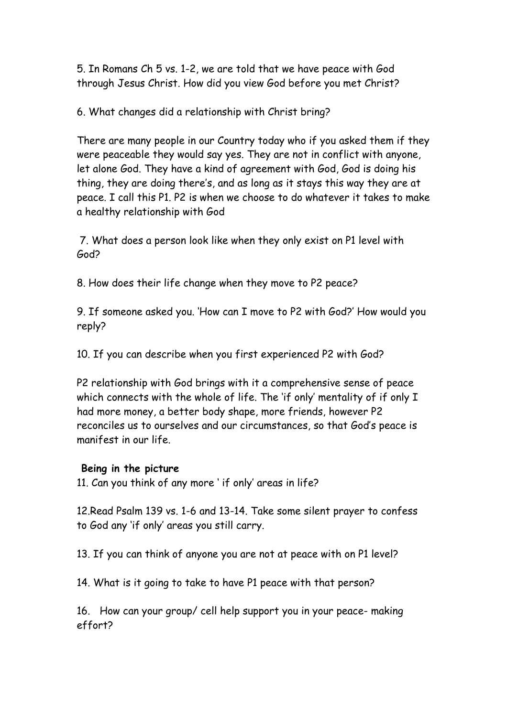5. In Romans Ch 5 vs. 1-2, we are told that we have peace with God through Jesus Christ. How did you view God before you met Christ?

6. What changes did a relationship with Christ bring?

There are many people in our Country today who if you asked them if they were peaceable they would say yes. They are not in conflict with anyone, let alone God. They have a kind of agreement with God, God is doing his thing, they are doing there's, and as long as it stays this way they are at peace. I call this P1. P2 is when we choose to do whatever it takes to make a healthy relationship with God

 7. What does a person look like when they only exist on P1 level with God?

8. How does their life change when they move to P2 peace?

9. If someone asked you. 'How can I move to P2 with God?' How would you reply?

10. If you can describe when you first experienced P2 with God?

P2 relationship with God brings with it a comprehensive sense of peace which connects with the whole of life. The 'if only' mentality of if only I had more money, a better body shape, more friends, however P2 reconciles us to ourselves and our circumstances, so that God's peace is manifest in our life.

### **Being in the picture**

11. Can you think of any more ' if only' areas in life?

12.Read Psalm 139 vs. 1-6 and 13-14. Take some silent prayer to confess to God any 'if only' areas you still carry.

13. If you can think of anyone you are not at peace with on P1 level?

14. What is it going to take to have P1 peace with that person?

16. How can your group/ cell help support you in your peace- making effort?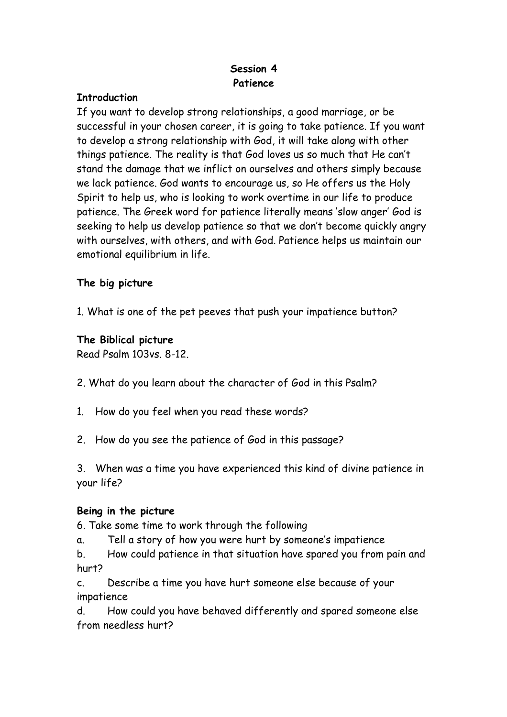# **Session 4 Patience**

## **Introduction**

If you want to develop strong relationships, a good marriage, or be successful in your chosen career, it is going to take patience. If you want to develop a strong relationship with God, it will take along with other things patience. The reality is that God loves us so much that He can't stand the damage that we inflict on ourselves and others simply because we lack patience. God wants to encourage us, so He offers us the Holy Spirit to help us, who is looking to work overtime in our life to produce patience. The Greek word for patience literally means 'slow anger' God is seeking to help us develop patience so that we don't become quickly angry with ourselves, with others, and with God. Patience helps us maintain our emotional equilibrium in life.

## **The big picture**

1. What is one of the pet peeves that push your impatience button?

# **The Biblical picture**

Read Psalm 103vs. 8-12.

- 2. What do you learn about the character of God in this Psalm?
- 1. How do you feel when you read these words?
- 2. How do you see the patience of God in this passage?

3. When was a time you have experienced this kind of divine patience in your life?

## **Being in the picture**

6. Take some time to work through the following

a. Tell a story of how you were hurt by someone's impatience

b. How could patience in that situation have spared you from pain and hurt?

c. Describe a time you have hurt someone else because of your impatience

d. How could you have behaved differently and spared someone else from needless hurt?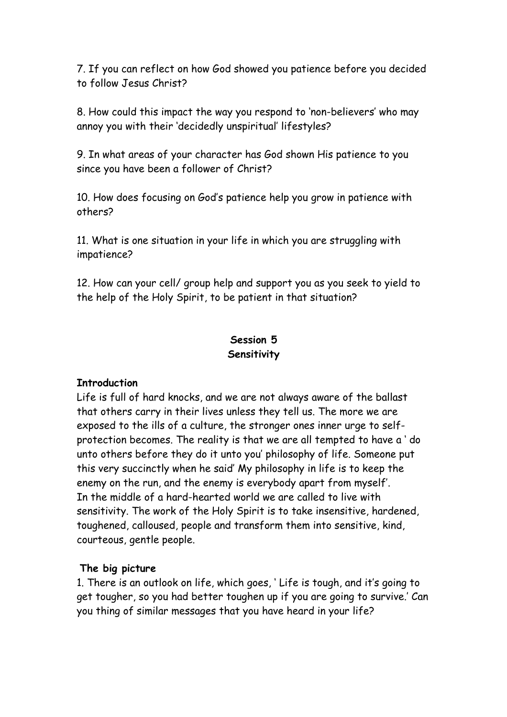7. If you can reflect on how God showed you patience before you decided to follow Jesus Christ?

8. How could this impact the way you respond to 'non-believers' who may annoy you with their 'decidedly unspiritual' lifestyles?

9. In what areas of your character has God shown His patience to you since you have been a follower of Christ?

10. How does focusing on God's patience help you grow in patience with others?

11. What is one situation in your life in which you are struggling with impatience?

12. How can your cell/ group help and support you as you seek to yield to the help of the Holy Spirit, to be patient in that situation?

# **Session 5 Sensitivity**

## **Introduction**

Life is full of hard knocks, and we are not always aware of the ballast that others carry in their lives unless they tell us. The more we are exposed to the ills of a culture, the stronger ones inner urge to selfprotection becomes. The reality is that we are all tempted to have a ' do unto others before they do it unto you' philosophy of life. Someone put this very succinctly when he said' My philosophy in life is to keep the enemy on the run, and the enemy is everybody apart from myself'. In the middle of a hard-hearted world we are called to live with sensitivity. The work of the Holy Spirit is to take insensitive, hardened, toughened, calloused, people and transform them into sensitive, kind, courteous, gentle people.

## **The big picture**

1. There is an outlook on life, which goes, ' Life is tough, and it's going to get tougher, so you had better toughen up if you are going to survive.' Can you thing of similar messages that you have heard in your life?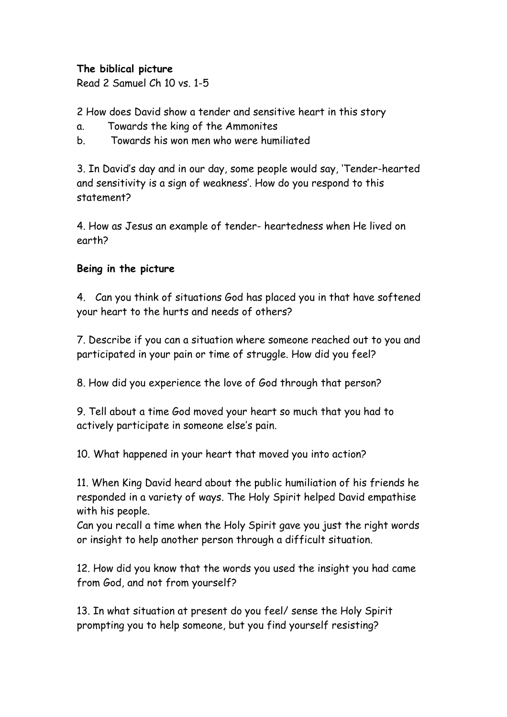## **The biblical picture**

Read 2 Samuel Ch 10 vs. 1-5

2 How does David show a tender and sensitive heart in this story

- a. Towards the king of the Ammonites
- b. Towards his won men who were humiliated

3. In David's day and in our day, some people would say, 'Tender-hearted and sensitivity is a sign of weakness'. How do you respond to this statement?

4. How as Jesus an example of tender- heartedness when He lived on earth?

## **Being in the picture**

4. Can you think of situations God has placed you in that have softened your heart to the hurts and needs of others?

7. Describe if you can a situation where someone reached out to you and participated in your pain or time of struggle. How did you feel?

8. How did you experience the love of God through that person?

9. Tell about a time God moved your heart so much that you had to actively participate in someone else's pain.

10. What happened in your heart that moved you into action?

11. When King David heard about the public humiliation of his friends he responded in a variety of ways. The Holy Spirit helped David empathise with his people.

Can you recall a time when the Holy Spirit gave you just the right words or insight to help another person through a difficult situation.

12. How did you know that the words you used the insight you had came from God, and not from yourself?

13. In what situation at present do you feel/ sense the Holy Spirit prompting you to help someone, but you find yourself resisting?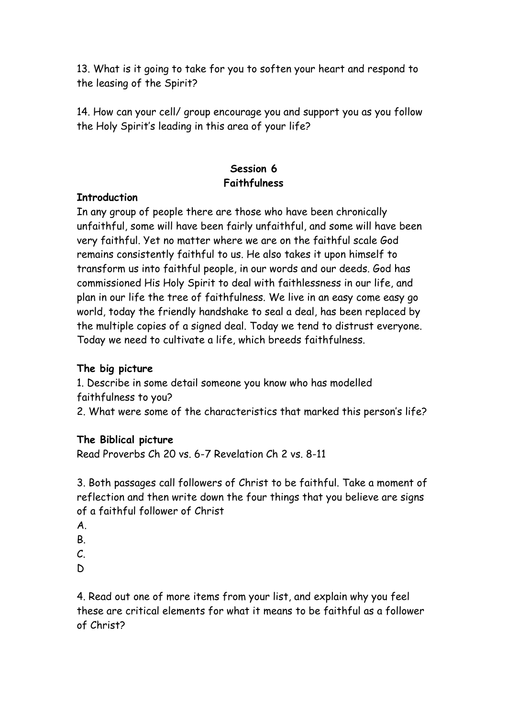13. What is it going to take for you to soften your heart and respond to the leasing of the Spirit?

14. How can your cell/ group encourage you and support you as you follow the Holy Spirit's leading in this area of your life?

## **Session 6 Faithfulness**

### **Introduction**

In any group of people there are those who have been chronically unfaithful, some will have been fairly unfaithful, and some will have been very faithful. Yet no matter where we are on the faithful scale God remains consistently faithful to us. He also takes it upon himself to transform us into faithful people, in our words and our deeds. God has commissioned His Holy Spirit to deal with faithlessness in our life, and plan in our life the tree of faithfulness. We live in an easy come easy go world, today the friendly handshake to seal a deal, has been replaced by the multiple copies of a signed deal. Today we tend to distrust everyone. Today we need to cultivate a life, which breeds faithfulness.

### **The big picture**

1. Describe in some detail someone you know who has modelled faithfulness to you? 2. What were some of the characteristics that marked this person's life?

### **The Biblical picture**

Read Proverbs Ch 20 vs. 6-7 Revelation Ch 2 vs. 8-11

3. Both passages call followers of Christ to be faithful. Take a moment of reflection and then write down the four things that you believe are signs of a faithful follower of Christ

- A.
- B.
- $\mathcal{C}$
- D

4. Read out one of more items from your list, and explain why you feel these are critical elements for what it means to be faithful as a follower of Christ?